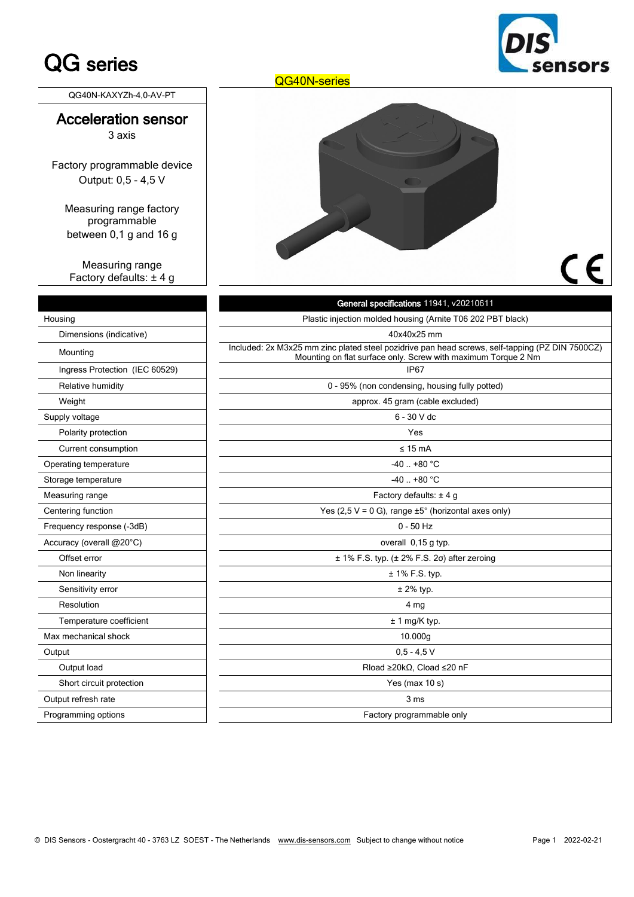## QG series

**Insors** 

QG40N-KAXYZh-4,0-AV-PT

### Acceleration sensor 3 axis

Factory programmable device Output: 0,5 - 4,5 V

Measuring range factory programmable between 0,1 g and 16 g

Measuring range Factory defaults: ± 4 g

| Housing                        |
|--------------------------------|
| Dimensions (indicative)        |
| Mounting                       |
| Ingress Protection (IEC 60529) |
| Relative humidity              |
| Weight                         |
| Supply voltage                 |
| Polarity protection            |
| Current consumption            |
| Operating temperature          |
| Storage temperature            |
| Measuring range                |
| Centering function             |
| Frequency response (-3dB)      |
| Accuracy (overall @20°C)       |
| Offset error                   |
| Non linearity                  |
| Sensitivity error              |
| Resolution                     |
| Temperature coefficient        |
| Max mechanical shock           |
| Output                         |
| Output load                    |
| Short circuit protection       |
| Output refresh rate            |
| Programming options            |

QG40N-series



# CE

|                                | General specifications 11941, v20210611                                                                                                                          |  |  |  |
|--------------------------------|------------------------------------------------------------------------------------------------------------------------------------------------------------------|--|--|--|
| Housing                        | Plastic injection molded housing (Arnite T06 202 PBT black)                                                                                                      |  |  |  |
| Dimensions (indicative)        | 40x40x25 mm                                                                                                                                                      |  |  |  |
| Mounting                       | Included: 2x M3x25 mm zinc plated steel pozidrive pan head screws, self-tapping (PZ DIN 7500CZ)<br>Mounting on flat surface only. Screw with maximum Torque 2 Nm |  |  |  |
| Ingress Protection (IEC 60529) | IP67                                                                                                                                                             |  |  |  |
| Relative humidity              | 0 - 95% (non condensing, housing fully potted)                                                                                                                   |  |  |  |
| Weight                         | approx. 45 gram (cable excluded)                                                                                                                                 |  |  |  |
| Supply voltage                 | $6 - 30$ V dc                                                                                                                                                    |  |  |  |
| Polarity protection            | Yes                                                                                                                                                              |  |  |  |
| Current consumption            | $\leq 15$ mA                                                                                                                                                     |  |  |  |
| Operating temperature          | $-40.1 + 80$ °C                                                                                                                                                  |  |  |  |
| Storage temperature            | $-40$ $+80$ °C                                                                                                                                                   |  |  |  |
| Measuring range                | Factory defaults: $\pm$ 4 g                                                                                                                                      |  |  |  |
| Centering function             | Yes (2,5 V = 0 G), range $\pm 5^{\circ}$ (horizontal axes only)                                                                                                  |  |  |  |
| Frequency response (-3dB)      | $0 - 50$ Hz                                                                                                                                                      |  |  |  |
| Accuracy (overall @20°C)       | overall 0,15 g typ.                                                                                                                                              |  |  |  |
| Offset error                   | $± 1\%$ F.S. typ. ( $± 2\%$ F.S. 2 $\sigma$ ) after zeroing                                                                                                      |  |  |  |
| Non linearity                  | $± 1\%$ F.S. typ.                                                                                                                                                |  |  |  |
| Sensitivity error              | $±$ 2% typ.                                                                                                                                                      |  |  |  |
| Resolution                     | 4 <sub>mg</sub>                                                                                                                                                  |  |  |  |
| Temperature coefficient        | $± 1$ mg/K typ.                                                                                                                                                  |  |  |  |
| Max mechanical shock           | 10.000g                                                                                                                                                          |  |  |  |
| Output                         | $0,5 - 4,5$ V                                                                                                                                                    |  |  |  |
| Output load                    | Rload $\geq$ 20k $\Omega$ , Cload $\leq$ 20 nF                                                                                                                   |  |  |  |
| Short circuit protection       | Yes (max $10 s$ )                                                                                                                                                |  |  |  |
| Output refresh rate            | 3 ms                                                                                                                                                             |  |  |  |
| Programming options            | Factory programmable only                                                                                                                                        |  |  |  |
|                                |                                                                                                                                                                  |  |  |  |